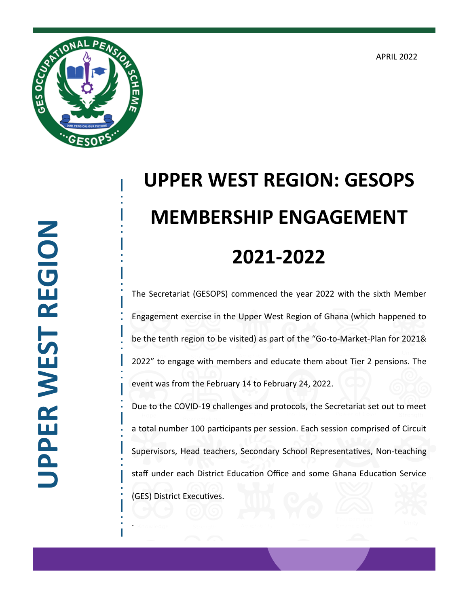APRIL 2022



## **UPPER WEST REGION** JPPER WEST REGION

.

## **UPPER WEST REGION: GESOPS MEMBERSHIP ENGAGEMENT 2021-2022**

The Secretariat (GESOPS) commenced the year 2022 with the sixth Member Engagement exercise in the Upper West Region of Ghana (which happened to be the tenth region to be visited) as part of the "Go-to-Market-Plan for 2021& 2022" to engage with members and educate them about Tier 2 pensions. The event was from the February 14 to February 24, 2022.

Due to the COVID-19 challenges and protocols, the Secretariat set out to meet a total number 100 participants per session. Each session comprised of Circuit Supervisors, Head teachers, Secondary School Representatives, Non-teaching staff under each District Education Office and some Ghana Education Service (GES) District Executives.